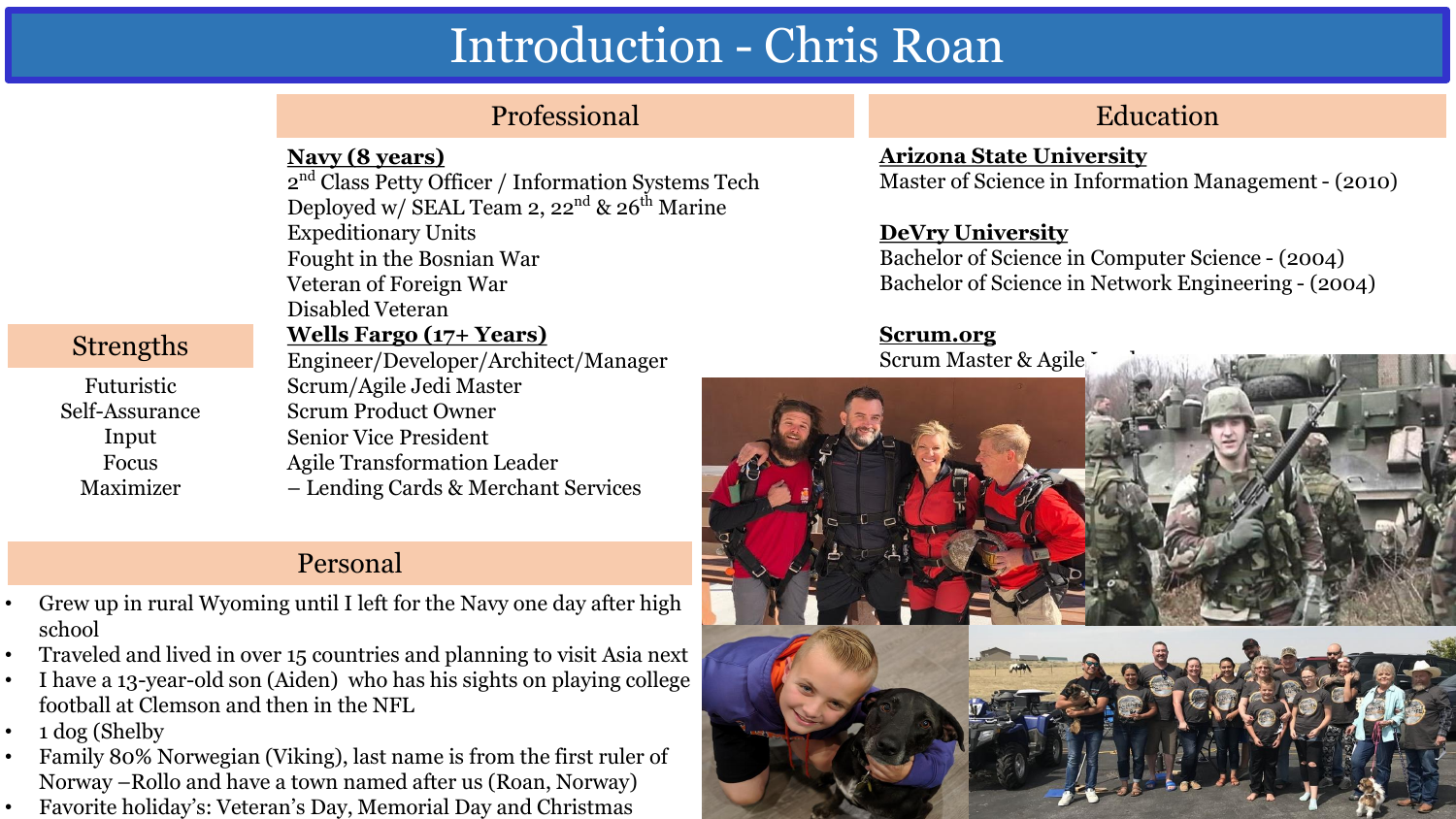# Introduction - Chris Roan

# Professional Education

### **Navy (8 years)**

2<sup>nd</sup> Class Petty Officer / Information Systems Tech Deployed w/ SEAL Team 2,  $22<sup>nd</sup>$  &  $26<sup>th</sup>$  Marine Expeditionary Units Fought in the Bosnian War Veteran of Foreign War Disabled Veteran **Wells Fargo (17+ Years)** Engineer/Developer/Architect/Manager Scrum/Agile Jedi Master Scrum Product Owner Senior Vice President

Agile Transformation Leader – Lending Cards & Merchant Services

# Personal

- Grew up in rural Wyoming until I left for the Navy one day after high school
- Traveled and lived in over 15 countries and planning to visit Asia next
- I have a 13-year-old son (Aiden) who has his sights on playing college football at Clemson and then in the NFL
- $\cdot$  1 dog (Shelby
- Family 80% Norwegian (Viking), last name is from the first ruler of Norway –Rollo and have a town named after us (Roan, Norway)
- Favorite holiday's: Veteran's Day, Memorial Day and Christmas

#### **Arizona State University**  Master of Science in Information Management - (2010)

### **DeVry University**

Bachelor of Science in Computer Science - (2004) Bachelor of Science in Network Engineering - (2004)

### **Scrum.org**

Scrum Master & Agile



## Strengths

Futuristic Self-Assurance Input Focus Maximizer